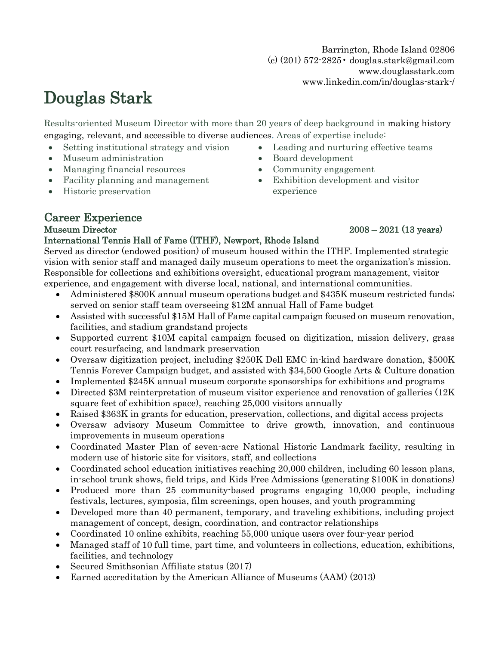Barrington, Rhode Island 02806 (c) (201) 572-2825• douglas.stark@gmail.com www.douglasstark.com www.linkedin.com/in/douglas-stark-/

# Douglas Stark

Results-oriented Museum Director with more than 20 years of deep background in making history engaging, relevant, and accessible to diverse audiences. Areas of expertise include:

- Setting institutional strategy and vision
- Museum administration
- Managing financial resources
- Facility planning and management
- Historic preservation
- Leading and nurturing effective teams
- Board development
- Community engagement
- Exhibition development and visitor experience

## Career Experience

#### International Tennis Hall of Fame (ITHF), Newport, Rhode Island

Served as director (endowed position) of museum housed within the ITHF. Implemented strategic vision with senior staff and managed daily museum operations to meet the organization's mission. Responsible for collections and exhibitions oversight, educational program management, visitor experience, and engagement with diverse local, national, and international communities.

- Administered \$800K annual museum operations budget and \$435K museum restricted funds; served on senior staff team overseeing \$12M annual Hall of Fame budget
- Assisted with successful \$15M Hall of Fame capital campaign focused on museum renovation, facilities, and stadium grandstand projects
- Supported current \$10M capital campaign focused on digitization, mission delivery, grass court resurfacing, and landmark preservation
- Oversaw digitization project, including \$250K Dell EMC in-kind hardware donation, \$500K Tennis Forever Campaign budget, and assisted with \$34,500 Google Arts & Culture donation
- Implemented \$245K annual museum corporate sponsorships for exhibitions and programs
- Directed \$3M reinterpretation of museum visitor experience and renovation of galleries (12K) square feet of exhibition space), reaching 25,000 visitors annually
- Raised \$363K in grants for education, preservation, collections, and digital access projects
- Oversaw advisory Museum Committee to drive growth, innovation, and continuous improvements in museum operations
- Coordinated Master Plan of seven-acre National Historic Landmark facility, resulting in modern use of historic site for visitors, staff, and collections
- Coordinated school education initiatives reaching 20,000 children, including 60 lesson plans, in-school trunk shows, field trips, and Kids Free Admissions (generating \$100K in donations)
- Produced more than 25 community-based programs engaging 10,000 people, including festivals, lectures, symposia, film screenings, open houses, and youth programming
- Developed more than 40 permanent, temporary, and traveling exhibitions, including project management of concept, design, coordination, and contractor relationships
- Coordinated 10 online exhibits, reaching 55,000 unique users over four-year period
- Managed staff of 10 full time, part time, and volunteers in collections, education, exhibitions, facilities, and technology
- Secured Smithsonian Affiliate status (2017)
- Earned accreditation by the American Alliance of Museums (AAM) (2013)

## Museum Director 2008 – 2021 (13 years)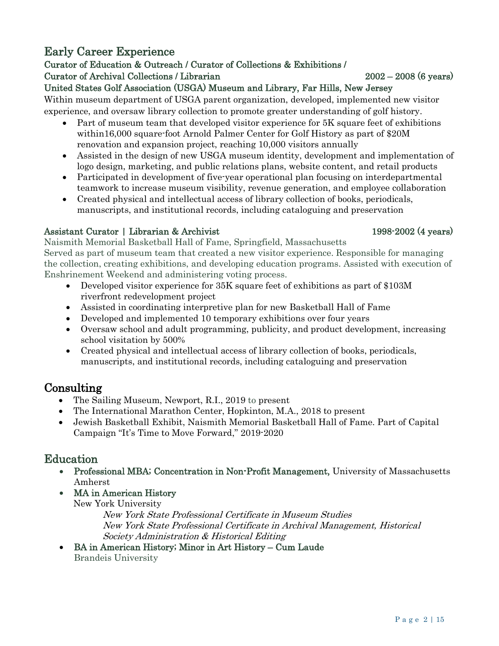## Early Career Experience

#### Curator of Education & Outreach / Curator of Collections & Exhibitions / Curator of Archival Collections / Librarian 2002 – 2008 (6 years)

## United States Golf Association (USGA) Museum and Library, Far Hills, New Jersey

Within museum department of USGA parent organization, developed, implemented new visitor experience, and oversaw library collection to promote greater understanding of golf history.

- Part of museum team that developed visitor experience for 5K square feet of exhibitions within16,000 square-foot Arnold Palmer Center for Golf History as part of \$20M renovation and expansion project, reaching 10,000 visitors annually
- Assisted in the design of new USGA museum identity, development and implementation of logo design, marketing, and public relations plans, website content, and retail products
- Participated in development of five-year operational plan focusing on interdepartmental teamwork to increase museum visibility, revenue generation, and employee collaboration
- Created physical and intellectual access of library collection of books, periodicals, manuscripts, and institutional records, including cataloguing and preservation

## Assistant Curator | Librarian & Archivist 1998-2002 (4 years)

Naismith Memorial Basketball Hall of Fame, Springfield, Massachusetts Served as part of museum team that created a new visitor experience. Responsible for managing the collection, creating exhibitions, and developing education programs. Assisted with execution of Enshrinement Weekend and administering voting process.

- Developed visitor experience for 35K square feet of exhibitions as part of \$103M riverfront redevelopment project
- Assisted in coordinating interpretive plan for new Basketball Hall of Fame
- Developed and implemented 10 temporary exhibitions over four years
- Oversaw school and adult programming, publicity, and product development, increasing school visitation by 500%
- Created physical and intellectual access of library collection of books, periodicals, manuscripts, and institutional records, including cataloguing and preservation

## Consulting

- The Sailing Museum, Newport, R.I., 2019 to present
- The International Marathon Center, Hopkinton, M.A., 2018 to present
- Jewish Basketball Exhibit, Naismith Memorial Basketball Hall of Fame. Part of Capital Campaign "It's Time to Move Forward," 2019-2020

## Education

- Professional MBA; Concentration in Non-Profit Management, University of Massachusetts Amherst
- MA in American History New York University

New York State Professional Certificate in Museum Studies New York State Professional Certificate in Archival Management, Historical Society Administration & Historical Editing

• BA in American History; Minor in Art History – Cum Laude Brandeis University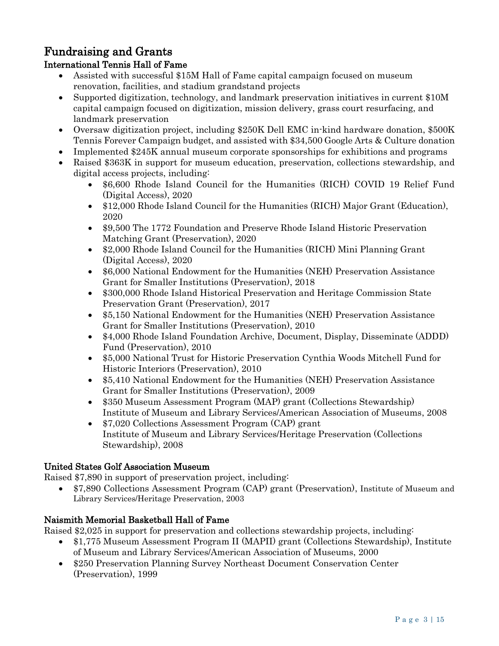## Fundraising and Grants

### International Tennis Hall of Fame

- Assisted with successful \$15M Hall of Fame capital campaign focused on museum renovation, facilities, and stadium grandstand projects
- Supported digitization, technology, and landmark preservation initiatives in current \$10M capital campaign focused on digitization, mission delivery, grass court resurfacing, and landmark preservation
- Oversaw digitization project, including \$250K Dell EMC in-kind hardware donation, \$500K Tennis Forever Campaign budget, and assisted with \$34,500 Google Arts & Culture donation
- Implemented \$245K annual museum corporate sponsorships for exhibitions and programs
- Raised \$363K in support for museum education, preservation, collections stewardship, and digital access projects, including:
	- \$6,600 Rhode Island Council for the Humanities (RICH) COVID 19 Relief Fund (Digital Access), 2020
	- \$12,000 Rhode Island Council for the Humanities (RICH) Major Grant (Education), 2020
	- \$9,500 The 1772 Foundation and Preserve Rhode Island Historic Preservation Matching Grant (Preservation), 2020
	- \$2,000 Rhode Island Council for the Humanities (RICH) Mini Planning Grant (Digital Access), 2020
	- \$6,000 National Endowment for the Humanities (NEH) Preservation Assistance Grant for Smaller Institutions (Preservation), 2018
	- \$300,000 Rhode Island Historical Preservation and Heritage Commission State Preservation Grant (Preservation), 2017
	- \$5,150 National Endowment for the Humanities (NEH) Preservation Assistance Grant for Smaller Institutions (Preservation), 2010
	- \$4,000 Rhode Island Foundation Archive, Document, Display, Disseminate (ADDD) Fund (Preservation), 2010
	- \$5,000 National Trust for Historic Preservation Cynthia Woods Mitchell Fund for Historic Interiors (Preservation), 2010
	- \$5,410 National Endowment for the Humanities (NEH) Preservation Assistance Grant for Smaller Institutions (Preservation), 2009
	- \$350 Museum Assessment Program (MAP) grant (Collections Stewardship) Institute of Museum and Library Services/American Association of Museums, 2008
	- \$7,020 Collections Assessment Program (CAP) grant Institute of Museum and Library Services/Heritage Preservation (Collections Stewardship), 2008

### United States Golf Association Museum

Raised \$7,890 in support of preservation project, including:

• \$7,890 Collections Assessment Program (CAP) grant (Preservation), Institute of Museum and Library Services/Heritage Preservation, 2003

#### Naismith Memorial Basketball Hall of Fame

Raised \$2,025 in support for preservation and collections stewardship projects, including:

- \$1,775 Museum Assessment Program II (MAPII) grant (Collections Stewardship), Institute of Museum and Library Services/American Association of Museums, 2000
- \$250 Preservation Planning Survey Northeast Document Conservation Center (Preservation), 1999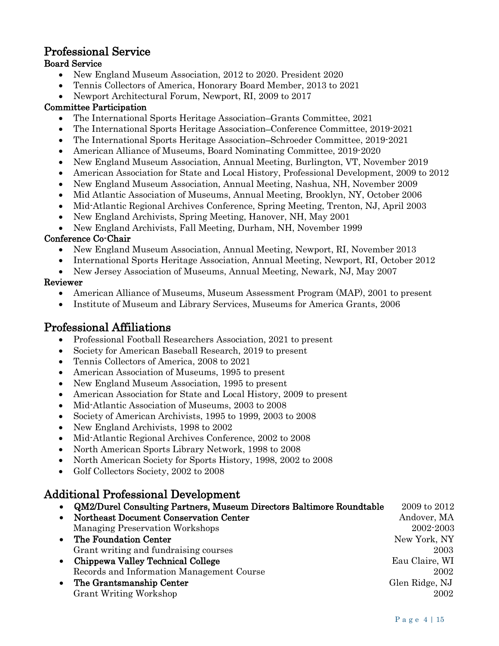## Professional Service

### Board Service

- New England Museum Association, 2012 to 2020. President 2020
- Tennis Collectors of America, Honorary Board Member, 2013 to 2021
- Newport Architectural Forum, Newport, RI, 2009 to 2017

#### Committee Participation

- The International Sports Heritage Association–Grants Committee, 2021
- The International Sports Heritage Association–Conference Committee, 2019-2021
- The International Sports Heritage Association–Schroeder Committee, 2019-2021
- American Alliance of Museums, Board Nominating Committee, 2019-2020
- New England Museum Association, Annual Meeting, Burlington, VT, November 2019
- American Association for State and Local History, Professional Development, 2009 to 2012
- New England Museum Association, Annual Meeting, Nashua, NH, November 2009
- Mid Atlantic Association of Museums, Annual Meeting, Brooklyn, NY, October 2006
- Mid-Atlantic Regional Archives Conference, Spring Meeting, Trenton, NJ, April 2003
- New England Archivists, Spring Meeting, Hanover, NH, May 2001
- New England Archivists, Fall Meeting, Durham, NH, November 1999

#### Conference Co-Chair

- New England Museum Association, Annual Meeting, Newport, RI, November 2013
- International Sports Heritage Association, Annual Meeting, Newport, RI, October 2012
- New Jersey Association of Museums, Annual Meeting, Newark, NJ, May 2007

#### Reviewer

- American Alliance of Museums, Museum Assessment Program (MAP), 2001 to present
- Institute of Museum and Library Services, Museums for America Grants, 2006

## Professional Affiliations

- Professional Football Researchers Association, 2021 to present
- Society for American Baseball Research, 2019 to present
- Tennis Collectors of America, 2008 to 2021
- American Association of Museums, 1995 to present
- New England Museum Association, 1995 to present
- American Association for State and Local History, 2009 to present
- Mid-Atlantic Association of Museums, 2003 to 2008
- Society of American Archivists, 1995 to 1999, 2003 to 2008
- New England Archivists, 1998 to 2002
- Mid-Atlantic Regional Archives Conference, 2002 to 2008
- North American Sports Library Network, 1998 to 2008
- North American Society for Sports History, 1998, 2002 to 2008
- Golf Collectors Society, 2002 to 2008

## Additional Professional Development

|           | QM2/Durel Consulting Partners, Museum Directors Baltimore Roundtable | 2009 to 2012   |
|-----------|----------------------------------------------------------------------|----------------|
|           | Northeast Document Conservation Center                               | Andover, MA    |
|           | <b>Managing Preservation Workshops</b>                               | 2002-2003      |
|           | • The Foundation Center                                              | New York, NY   |
|           | Grant writing and fundraising courses                                | 2003           |
| $\bullet$ | Chippewa Valley Technical College                                    | Eau Claire, WI |
|           | Records and Information Management Course                            | 2002           |
| $\bullet$ | The Grantsmanship Center                                             | Glen Ridge, NJ |
|           | Grant Writing Workshop                                               | 2002           |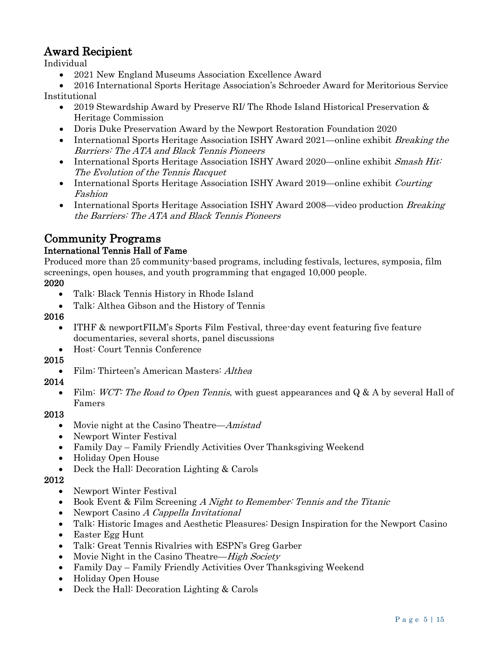## Award Recipient

Individual

• 2021 New England Museums Association Excellence Award

• 2016 International Sports Heritage Association's Schroeder Award for Meritorious Service Institutional

- 2019 Stewardship Award by Preserve RI/ The Rhode Island Historical Preservation & Heritage Commission
- Doris Duke Preservation Award by the Newport Restoration Foundation 2020
- International Sports Heritage Association ISHY Award 2021—online exhibit *Breaking the* Barriers: The ATA and Black Tennis Pioneers
- International Sports Heritage Association ISHY Award 2020—online exhibit Smash Hit: The Evolution of the Tennis Racquet
- International Sports Heritage Association ISHY Award 2019—online exhibit Courting Fashion
- International Sports Heritage Association ISHY Award 2008—video production Breaking the Barriers: The ATA and Black Tennis Pioneers

#### Community Programs International Tennis Hall of Fame

Produced more than 25 community-based programs, including festivals, lectures, symposia, film screenings, open houses, and youth programming that engaged 10,000 people.

#### 2020

- Talk: Black Tennis History in Rhode Island
- Talk: Althea Gibson and the History of Tennis

#### 2016

- ITHF & newportFILM's Sports Film Festival, three-day event featuring five feature documentaries, several shorts, panel discussions
- Host: Court Tennis Conference

#### 2015

• Film: Thirteen's American Masters: *Althea* 

#### 2014

• Film: WCT: The Road to Open Tennis, with guest appearances and  $Q & A$  by several Hall of Famers

#### 2013

- Movie night at the Casino Theatre—*Amistad*
- Newport Winter Festival
- Family Day Family Friendly Activities Over Thanksgiving Weekend
- Holiday Open House
- Deck the Hall: Decoration Lighting & Carols

#### 2012

- Newport Winter Festival
- Book Event & Film Screening A Night to Remember: Tennis and the Titanic
- Newport Casino A Cappella Invitational
- Talk: Historic Images and Aesthetic Pleasures: Design Inspiration for the Newport Casino
- Easter Egg Hunt
- Talk: Great Tennis Rivalries with ESPN's Greg Garber
- Movie Night in the Casino Theatre—High Society
- Family Day Family Friendly Activities Over Thanksgiving Weekend
- Holiday Open House
- Deck the Hall: Decoration Lighting & Carols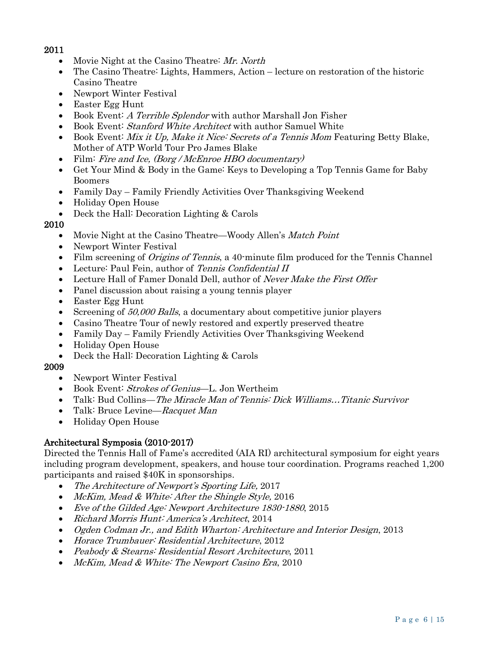#### 2011

- Movie Night at the Casino Theatre: Mr. North
- The Casino Theatre: Lights, Hammers, Action lecture on restoration of the historic Casino Theatre
- Newport Winter Festival
- Easter Egg Hunt
- Book Event: A Terrible Splendor with author Marshall Jon Fisher
- Book Event: *Stanford White Architect* with author Samuel White
- Book Event: *Mix it Up, Make it Nice: Secrets of a Tennis Mom* Featuring Betty Blake, Mother of ATP World Tour Pro James Blake
- Film: Fire and Ice, (Borg / McEnroe HBO documentary)
- Get Your Mind & Body in the Game: Keys to Developing a Top Tennis Game for Baby Boomers
- Family Day Family Friendly Activities Over Thanksgiving Weekend
- Holiday Open House
- Deck the Hall: Decoration Lighting & Carols

#### 2010

- Movie Night at the Casino Theatre—Woody Allen's *Match Point*
- Newport Winter Festival
- Film screening of *Origins of Tennis*, a 40-minute film produced for the Tennis Channel
- Lecture: Paul Fein, author of Tennis Confidential II
- Lecture Hall of Famer Donald Dell, author of Never Make the First Offer
- Panel discussion about raising a young tennis player
- Easter Egg Hunt
- Screening of 50,000 Balls, a documentary about competitive junior players
- Casino Theatre Tour of newly restored and expertly preserved theatre
- Family Day Family Friendly Activities Over Thanksgiving Weekend
- Holiday Open House
- Deck the Hall: Decoration Lighting & Carols

#### 2009

- Newport Winter Festival
- Book Event: Strokes of Genius—L. Jon Wertheim
- Talk: Bud Collins—The Miracle Man of Tennis: Dick Williams...Titanic Survivor
- Talk: Bruce Levine—Racquet Man
- Holiday Open House

#### Architectural Symposia (2010-2017)

Directed the Tennis Hall of Fame's accredited (AIA RI) architectural symposium for eight years including program development, speakers, and house tour coordination. Programs reached 1,200 participants and raised \$40K in sponsorships.

- The Architecture of Newport's Sporting Life, 2017
- McKim, Mead & White: After the Shingle Style, 2016
- Eve of the Gilded Age: Newport Architecture 1830-1880, 2015
- Richard Morris Hunt: America's Architect, 2014
- Ogden Codman Jr., and Edith Wharton: Architecture and Interior Design, 2013
- Horace Trumbauer: Residential Architecture, 2012
- Peabody & Stearns: Residential Resort Architecture, 2011
- McKim, Mead & White: The Newport Casino Era, 2010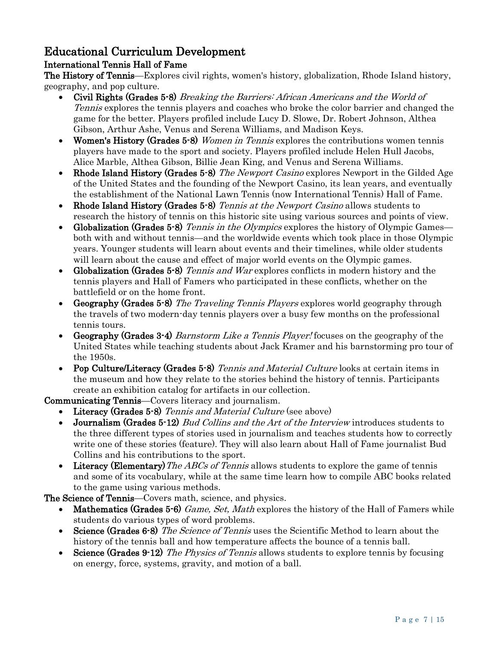## Educational Curriculum Development

#### International Tennis Hall of Fame

The History of Tennis—Explores civil rights, women's history, globalization, Rhode Island history, geography, and pop culture.

- Civil Rights (Grades 5-8) Breaking the Barriers: African Americans and the World of Tennis explores the tennis players and coaches who broke the color barrier and changed the game for the better. Players profiled include Lucy D. Slowe, Dr. Robert Johnson, Althea Gibson, Arthur Ashe, Venus and Serena Williams, and Madison Keys.
- Women's History (Grades 5-8) *Women in Tennis* explores the contributions women tennis players have made to the sport and society. Players profiled include Helen Hull Jacobs, Alice Marble, Althea Gibson, Billie Jean King, and Venus and Serena Williams.
- **Rhode Island History (Grades 5-8)** The Newport Casino explores Newport in the Gilded Age of the United States and the founding of the Newport Casino, its lean years, and eventually the establishment of the National Lawn Tennis (now International Tennis) Hall of Fame.
- **Rhode Island History (Grades 5-8)** Tennis at the Newport Casino allows students to research the history of tennis on this historic site using various sources and points of view.
- Globalization (Grades 5-8) Tennis in the Olympics explores the history of Olympic Games both with and without tennis—and the worldwide events which took place in those Olympic years. Younger students will learn about events and their timelines, while older students will learn about the cause and effect of major world events on the Olympic games.
- Globalization (Grades 5-8) Tennis and War explores conflicts in modern history and the tennis players and Hall of Famers who participated in these conflicts, whether on the battlefield or on the home front.
- Geography (Grades 5-8) The Traveling Tennis Players explores world geography through the travels of two modern-day tennis players over a busy few months on the professional tennis tours.
- **Geography (Grades 3-4)** Barnstorm Like a Tennis Player! focuses on the geography of the United States while teaching students about Jack Kramer and his barnstorming pro tour of the 1950s.
- Pop Culture/Literacy (Grades 5-8) Tennis and Material Culture looks at certain items in the museum and how they relate to the stories behind the history of tennis. Participants create an exhibition catalog for artifacts in our collection.

Communicating Tennis—Covers literacy and journalism.

- Literacy (Grades 5-8) Tennis and Material Culture (see above)
- Journalism (Grades 5-12) Bud Collins and the Art of the Interview introduces students to the three different types of stories used in journalism and teaches students how to correctly write one of these stories (feature). They will also learn about Hall of Fame journalist Bud Collins and his contributions to the sport.
- Literacy (Elementary) The ABCs of Tennis allows students to explore the game of tennis and some of its vocabulary, while at the same time learn how to compile ABC books related to the game using various methods.

The Science of Tennis—Covers math, science, and physics.

- **Mathematics (Grades 5-6)** Game, Set, Math explores the history of the Hall of Famers while students do various types of word problems.
- Science (Grades 6-8) The Science of Tennis uses the Scientific Method to learn about the history of the tennis ball and how temperature affects the bounce of a tennis ball.
- Science (Grades 9-12) The Physics of Tennis allows students to explore tennis by focusing on energy, force, systems, gravity, and motion of a ball.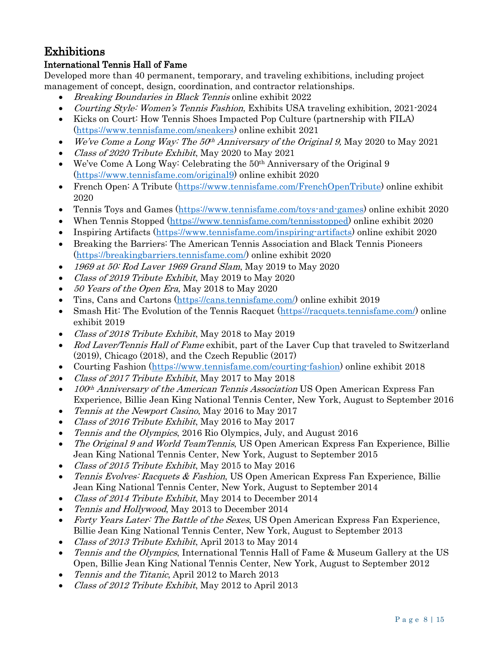## Exhibitions

#### International Tennis Hall of Fame

Developed more than 40 permanent, temporary, and traveling exhibitions, including project management of concept, design, coordination, and contractor relationships.

- Breaking Boundaries in Black Tennis online exhibit 2022
- *Courting Style: Women's Tennis Fashion*, Exhibits USA traveling exhibition, 2021-2024
- Kicks on Court: How Tennis Shoes Impacted Pop Culture (partnership with FILA) [\(https://www.tennisfame.com/sneakers\)](https://www.tennisfame.com/sneakers) online exhibit 2021
- We've Come a Long Way: The  $50<sup>th</sup>$  Anniversary of the Original 9, May 2020 to May 2021
- Class of 2020 Tribute Exhibit, May 2020 to May 2021
- We've Come A Long Way: Celebrating the 50<sup>th</sup> Anniversary of the Original 9 [\(https://www.tennisfame.com/original9\)](https://www.tennisfame.com/original9) online exhibit 2020
- French Open: A Tribute [\(https://www.tennisfame.com/FrenchOpenTribute\)](https://www.tennisfame.com/FrenchOpenTribute) online exhibit 2020
- Tennis Toys and Games [\(https://www.tennisfame.com/toys-and-games\)](https://www.tennisfame.com/toys-and-games) online exhibit 2020
- When Tennis Stopped [\(https://www.tennisfame.com/tennisstopped\)](https://www.tennisfame.com/tennisstopped) online exhibit 2020
- Inspiring Artifacts [\(https://www.tennisfame.com/inspiring-artifacts\)](https://www.tennisfame.com/inspiring-artifacts) online exhibit 2020
- Breaking the Barriers: The American Tennis Association and Black Tennis Pioneers [\(https://breakingbarriers.tennisfame.com/\)](https://breakingbarriers.tennisfame.com/) online exhibit 2020
- 1969 at 50: Rod Laver 1969 Grand Slam, May 2019 to May 2020
- Class of 2019 Tribute Exhibit, May 2019 to May 2020
- 50 Years of the Open Era, May 2018 to May 2020
- Tins, Cans and Cartons [\(https://cans.tennisfame.com/\)](https://cans.tennisfame.com/) online exhibit 2019
- Smash Hit: The Evolution of the Tennis Racquet [\(https://racquets.tennisfame.com/\)](https://racquets.tennisfame.com/) online exhibit 2019
- Class of 2018 Tribute Exhibit, May 2018 to May 2019
- Rod Laver/Tennis Hall of Fame exhibit, part of the Laver Cup that traveled to Switzerland (2019), Chicago (2018), and the Czech Republic (2017)
- Courting Fashion [\(https://www.tennisfame.com/courting-fashion\)](https://www.tennisfame.com/courting-fashion) online exhibit 2018
- Class of 2017 Tribute Exhibit, May 2017 to May 2018
- 100<sup>th</sup> Anniversary of the American Tennis Association US Open American Express Fan Experience, Billie Jean King National Tennis Center, New York, August to September 2016
- Tennis at the Newport Casino, May 2016 to May 2017
- Class of 2016 Tribute Exhibit, May 2016 to May 2017
- Tennis and the Olympics, 2016 Rio Olympics, July, and August 2016
- The Original 9 and World TeamTennis, US Open American Express Fan Experience, Billie Jean King National Tennis Center, New York, August to September 2015
- Class of 2015 Tribute Exhibit, May 2015 to May 2016
- Tennis Evolves: Racquets & Fashion, US Open American Express Fan Experience, Billie Jean King National Tennis Center, New York, August to September 2014
- Class of 2014 Tribute Exhibit, May 2014 to December 2014
- Tennis and Hollywood, May 2013 to December 2014
- Forty Years Later: The Battle of the Sexes, US Open American Express Fan Experience, Billie Jean King National Tennis Center, New York, August to September 2013
- Class of 2013 Tribute Exhibit, April 2013 to May 2014
- *Tennis and the Olympics*, International Tennis Hall of Fame & Museum Gallery at the US Open, Billie Jean King National Tennis Center, New York, August to September 2012
- Tennis and the Titanic, April 2012 to March 2013
- *Class of 2012 Tribute Exhibit*, May 2012 to April 2013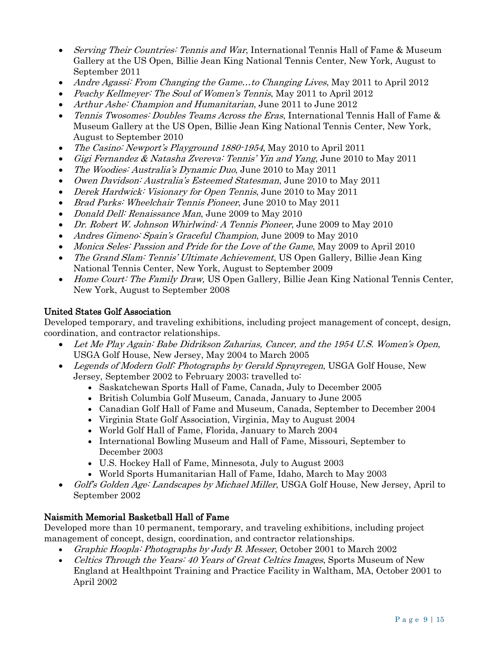- Serving Their Countries: Tennis and War, International Tennis Hall of Fame & Museum Gallery at the US Open, Billie Jean King National Tennis Center, New York, August to September 2011
- Andre Agassi: From Changing the Game...to Changing Lives, May 2011 to April 2012
- Peachy Kellmeyer: The Soul of Women's Tennis, May 2011 to April 2012
- Arthur Ashe: Champion and Humanitarian, June 2011 to June 2012
- Tennis Twosomes: Doubles Teams Across the Eras, International Tennis Hall of Fame & Museum Gallery at the US Open, Billie Jean King National Tennis Center, New York, August to September 2010
- The Casino: Newport's Playground 1880-1954, May 2010 to April 2011
- Gigi Fernandez & Natasha Zvereva: Tennis' Yin and Yang, June 2010 to May 2011
- The Woodies: Australia's Dynamic Duo, June 2010 to May 2011
- Owen Davidson: Australia's Esteemed Statesman, June 2010 to May 2011
- Derek Hardwick: Visionary for Open Tennis, June 2010 to May 2011
- Brad Parks: Wheelchair Tennis Pioneer, June 2010 to May 2011
- *Donald Dell: Renaissance Man*, June 2009 to May 2010
- Dr. Robert W. Johnson Whirlwind: A Tennis Pioneer, June 2009 to May 2010
- Andres Gimeno: Spain's Graceful Champion, June 2009 to May 2010
- Monica Seles: Passion and Pride for the Love of the Game, May 2009 to April 2010
- The Grand Slam: Tennis' Ultimate Achievement, US Open Gallery, Billie Jean King National Tennis Center, New York, August to September 2009
- Home Court: The Family Draw, US Open Gallery, Billie Jean King National Tennis Center, New York, August to September 2008

#### United States Golf Association

Developed temporary, and traveling exhibitions, including project management of concept, design, coordination, and contractor relationships.

- Let Me Play Again: Babe Didrikson Zaharias, Cancer, and the 1954 U.S. Women's Open, USGA Golf House, New Jersey, May 2004 to March 2005
- Legends of Modern Golf: Photographs by Gerald Sprayregen, USGA Golf House, New Jersey, September 2002 to February 2003; travelled to:
	- Saskatchewan Sports Hall of Fame, Canada, July to December 2005
	- British Columbia Golf Museum, Canada, January to June 2005
	- Canadian Golf Hall of Fame and Museum, Canada, September to December 2004
	- Virginia State Golf Association, Virginia, May to August 2004
	- World Golf Hall of Fame, Florida, January to March 2004
	- International Bowling Museum and Hall of Fame, Missouri, September to December 2003
	- U.S. Hockey Hall of Fame, Minnesota, July to August 2003
	- World Sports Humanitarian Hall of Fame, Idaho, March to May 2003
- Golf's Golden Age: Landscapes by Michael Miller, USGA Golf House, New Jersey, April to September 2002

#### Naismith Memorial Basketball Hall of Fame

Developed more than 10 permanent, temporary, and traveling exhibitions, including project management of concept, design, coordination, and contractor relationships.

- Graphic Hoopla: Photographs by Judy B. Messer, October 2001 to March 2002
- Celtics Through the Years: 40 Years of Great Celtics Images, Sports Museum of New England at Healthpoint Training and Practice Facility in Waltham, MA, October 2001 to April 2002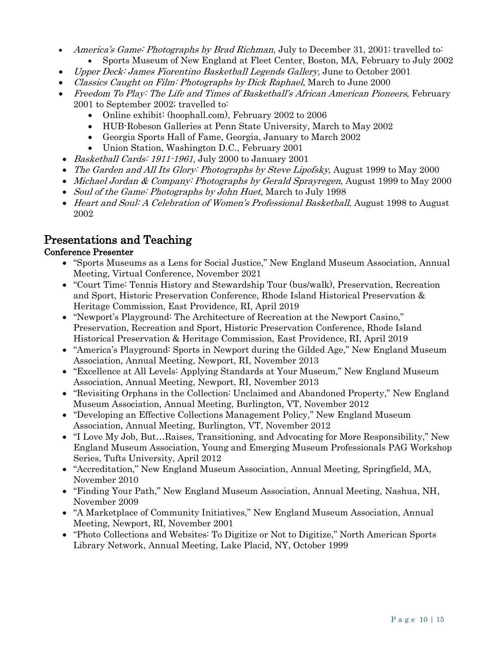- America's Game: Photographs by Brad Richman, July to December 31, 2001; travelled to: • Sports Museum of New England at Fleet Center, Boston, MA, February to July 2002
- Upper Deck: James Fiorentino Basketball Legends Gallery, June to October 2001
- Classics Caught on Film: Photographs by Dick Raphael, March to June 2000
- Freedom To Play: The Life and Times of Basketball's African American Pioneers, February 2001 to September 2002; travelled to:
	- Online exhibit: (hoophall.com), February 2002 to 2006
	- HUB-Robeson Galleries at Penn State University, March to May 2002
	- Georgia Sports Hall of Fame, Georgia, January to March 2002
	- Union Station, Washington D.C., February 2001
- Basketball Cards: 1911-1961, July 2000 to January 2001
- The Garden and All Its Glory: Photographs by Steve Lipofsky, August 1999 to May 2000
- Michael Jordan & Company: Photographs by Gerald Sprayregen, August 1999 to May 2000
- Soul of the Game: Photographs by John Huet, March to July 1998
- Heart and Soul: A Celebration of Women's Professional Basketball, August 1998 to August 2002

## Presentations and Teaching

#### Conference Presenter

- "Sports Museums as a Lens for Social Justice," New England Museum Association, Annual Meeting, Virtual Conference, November 2021
- "Court Time: Tennis History and Stewardship Tour (bus/walk), Preservation, Recreation and Sport, Historic Preservation Conference, Rhode Island Historical Preservation & Heritage Commission, East Providence, RI, April 2019
- "Newport's Playground: The Architecture of Recreation at the Newport Casino," Preservation, Recreation and Sport, Historic Preservation Conference, Rhode Island Historical Preservation & Heritage Commission, East Providence, RI, April 2019
- "America's Playground: Sports in Newport during the Gilded Age," New England Museum Association, Annual Meeting, Newport, RI, November 2013
- "Excellence at All Levels: Applying Standards at Your Museum," New England Museum Association, Annual Meeting, Newport, RI, November 2013
- "Revisiting Orphans in the Collection: Unclaimed and Abandoned Property," New England Museum Association, Annual Meeting, Burlington, VT, November 2012
- "Developing an Effective Collections Management Policy," New England Museum Association, Annual Meeting, Burlington, VT, November 2012
- "I Love My Job, But…Raises, Transitioning, and Advocating for More Responsibility," New England Museum Association, Young and Emerging Museum Professionals PAG Workshop Series, Tufts University, April 2012
- "Accreditation," New England Museum Association, Annual Meeting, Springfield, MA, November 2010
- "Finding Your Path," New England Museum Association, Annual Meeting, Nashua, NH, November 2009
- "A Marketplace of Community Initiatives," New England Museum Association, Annual Meeting, Newport, RI, November 2001
- "Photo Collections and Websites: To Digitize or Not to Digitize," North American Sports Library Network, Annual Meeting, Lake Placid, NY, October 1999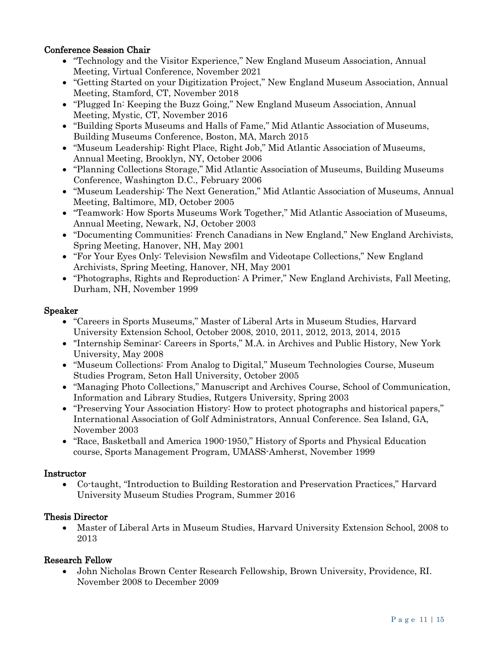#### Conference Session Chair

- "Technology and the Visitor Experience," New England Museum Association, Annual Meeting, Virtual Conference, November 2021
- "Getting Started on your Digitization Project," New England Museum Association, Annual Meeting, Stamford, CT, November 2018
- "Plugged In: Keeping the Buzz Going," New England Museum Association, Annual Meeting, Mystic, CT, November 2016
- "Building Sports Museums and Halls of Fame," Mid Atlantic Association of Museums, Building Museums Conference, Boston, MA, March 2015
- "Museum Leadership: Right Place, Right Job," Mid Atlantic Association of Museums, Annual Meeting, Brooklyn, NY, October 2006
- "Planning Collections Storage," Mid Atlantic Association of Museums, Building Museums Conference, Washington D.C., February 2006
- "Museum Leadership: The Next Generation," Mid Atlantic Association of Museums, Annual Meeting, Baltimore, MD, October 2005
- "Teamwork: How Sports Museums Work Together," Mid Atlantic Association of Museums, Annual Meeting, Newark, NJ, October 2003
- "Documenting Communities: French Canadians in New England," New England Archivists, Spring Meeting, Hanover, NH, May 2001
- "For Your Eyes Only: Television Newsfilm and Videotape Collections," New England Archivists, Spring Meeting, Hanover, NH, May 2001
- "Photographs, Rights and Reproduction: A Primer," New England Archivists, Fall Meeting, Durham, NH, November 1999

#### Speaker

- "Careers in Sports Museums," Master of Liberal Arts in Museum Studies, Harvard University Extension School, October 2008, 2010, 2011, 2012, 2013, 2014, 2015
- "Internship Seminar: Careers in Sports," M.A. in Archives and Public History, New York University, May 2008
- "Museum Collections: From Analog to Digital," Museum Technologies Course, Museum Studies Program, Seton Hall University, October 2005
- "Managing Photo Collections," Manuscript and Archives Course, School of Communication, Information and Library Studies, Rutgers University, Spring 2003
- "Preserving Your Association History: How to protect photographs and historical papers," International Association of Golf Administrators, Annual Conference. Sea Island, GA, November 2003
- "Race, Basketball and America 1900-1950," History of Sports and Physical Education course, Sports Management Program, UMASS-Amherst, November 1999

#### Instructor

• Co-taught, "Introduction to Building Restoration and Preservation Practices," Harvard University Museum Studies Program, Summer 2016

#### Thesis Director

• Master of Liberal Arts in Museum Studies, Harvard University Extension School, 2008 to 2013

#### Research Fellow

• John Nicholas Brown Center Research Fellowship, Brown University, Providence, RI. November 2008 to December 2009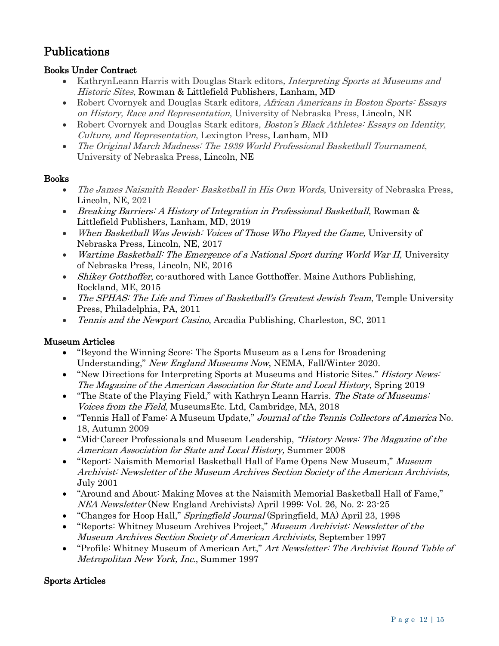## Publications

#### Books Under Contract

- KathrynLeann Harris with Douglas Stark editors, *Interpreting Sports at Museums and* Historic Sites, Rowman & Littlefield Publishers, Lanham, MD
- Robert Cvornyek and Douglas Stark editors, African Americans in Boston Sports: Essays on History, Race and Representation, University of Nebraska Press, Lincoln, NE
- Robert Cvornyek and Douglas Stark editors, *Boston's Black Athletes: Essays on Identity*, Culture, and Representation, Lexington Press, Lanham, MD
- The Original March Madness: The 1939 World Professional Basketball Tournament, University of Nebraska Press, Lincoln, NE

#### Books

- The James Naismith Reader: Basketball in His Own Words, University of Nebraska Press, Lincoln, NE, 2021
- Breaking Barriers: A History of Integration in Professional Basketball, Rowman & Littlefield Publishers, Lanham, MD, 2019
- When Basketball Was Jewish: Voices of Those Who Played the Game, University of Nebraska Press, Lincoln, NE, 2017
- Wartime Basketball: The Emergence of a National Sport during World War II, University of Nebraska Press, Lincoln, NE, 2016
- Shikey Gotthoffer, co-authored with Lance Gotthoffer. Maine Authors Publishing, Rockland, ME, 2015
- The SPHAS: The Life and Times of Basketball's Greatest Jewish Team, Temple University Press, Philadelphia, PA, 2011
- Tennis and the Newport Casino, Arcadia Publishing, Charleston, SC, 2011

#### Museum Articles

- "Beyond the Winning Score: The Sports Museum as a Lens for Broadening Understanding," New England Museums Now, NEMA, Fall/Winter 2020.
- "New Directions for Interpreting Sports at Museums and Historic Sites." *History News*: The Magazine of the American Association for State and Local History, Spring 2019
- "The State of the Playing Field," with Kathryn Leann Harris. The State of Museums: Voices from the Field, MuseumsEtc. Ltd, Cambridge, MA, 2018
- "Tennis Hall of Fame: A Museum Update," Journal of the Tennis Collectors of America No. 18, Autumn 2009
- "Mid-Career Professionals and Museum Leadership, "History News: The Magazine of the American Association for State and Local History, Summer 2008
- "Report: Naismith Memorial Basketball Hall of Fame Opens New Museum," Museum Archivist: Newsletter of the Museum Archives Section Society of the American Archivists, July 2001
- "Around and About: Making Moves at the Naismith Memorial Basketball Hall of Fame," NEA Newsletter (New England Archivists) April 1999: Vol. 26, No. 2: 23-25
- "Changes for Hoop Hall," Springfield Journal (Springfield, MA) April 23, 1998
- "Reports: Whitney Museum Archives Project," Museum Archivist: Newsletter of the Museum Archives Section Society of American Archivists, September 1997
- "Profile: Whitney Museum of American Art," Art Newsletter: The Archivist Round Table of Metropolitan New York, Inc., Summer 1997

#### Sports Articles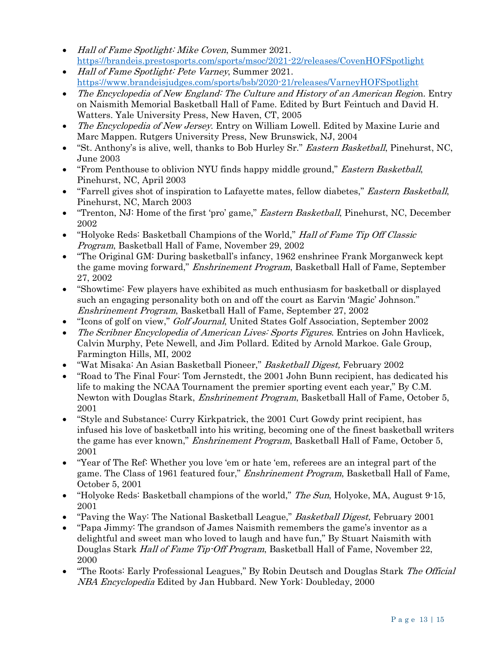- Hall of Fame Spotlight: Mike Coven, Summer 2021. <https://brandeis.prestosports.com/sports/msoc/2021-22/releases/CovenHOFSpotlight>
- Hall of Fame Spotlight: Pete Varney, Summer 2021. <https://www.brandeisjudges.com/sports/bsb/2020-21/releases/VarneyHOFSpotlight>
- The Encyclopedia of New England: The Culture and History of an American Region. Entry on Naismith Memorial Basketball Hall of Fame. Edited by Burt Feintuch and David H. Watters. Yale University Press, New Haven, CT, 2005
- The Encyclopedia of New Jersey. Entry on William Lowell. Edited by Maxine Lurie and Marc Mappen. Rutgers University Press, New Brunswick, NJ, 2004
- "St. Anthony's is alive, well, thanks to Bob Hurley Sr." *Eastern Basketball*, Pinehurst, NC, June 2003
- "From Penthouse to oblivion NYU finds happy middle ground," *Eastern Basketball*, Pinehurst, NC, April 2003
- "Farrell gives shot of inspiration to Lafayette mates, fellow diabetes," *Eastern Basketball*, Pinehurst, NC, March 2003
- "Trenton, NJ: Home of the first 'pro' game," *Eastern Basketball*, Pinehurst, NC, December 2002
- "Holyoke Reds: Basketball Champions of the World," Hall of Fame Tip Off Classic Program, Basketball Hall of Fame, November 29, 2002
- "The Original GM: During basketball's infancy, 1962 enshrinee Frank Morganweck kept the game moving forward," Enshrinement Program, Basketball Hall of Fame, September 27, 2002
- "Showtime: Few players have exhibited as much enthusiasm for basketball or displayed such an engaging personality both on and off the court as Earvin 'Magic' Johnson." Enshrinement Program, Basketball Hall of Fame, September 27, 2002
- "Icons of golf on view," *Golf Journal*, United States Golf Association, September 2002
- The Scribner Encyclopedia of American Lives: Sports Figures. Entries on John Havlicek, Calvin Murphy, Pete Newell, and Jim Pollard. Edited by Arnold Markoe. Gale Group, Farmington Hills, MI, 2002
- "Wat Misaka: An Asian Basketball Pioneer," Basketball Digest, February 2002
- "Road to The Final Four: Tom Jernstedt, the 2001 John Bunn recipient, has dedicated his life to making the NCAA Tournament the premier sporting event each year," By C.M. Newton with Douglas Stark, Enshrinement Program, Basketball Hall of Fame, October 5, 2001
- "Style and Substance: Curry Kirkpatrick, the 2001 Curt Gowdy print recipient, has infused his love of basketball into his writing, becoming one of the finest basketball writers the game has ever known," Enshrinement Program, Basketball Hall of Fame, October 5, 2001
- "Year of The Ref: Whether you love 'em or hate 'em, referees are an integral part of the game. The Class of 1961 featured four," Enshrinement Program, Basketball Hall of Fame, October 5, 2001
- "Holyoke Reds: Basketball champions of the world," The Sun, Holyoke, MA, August 9-15, 2001
- "Paving the Way: The National Basketball League," Basketball Digest, February 2001
- "Papa Jimmy: The grandson of James Naismith remembers the game's inventor as a delightful and sweet man who loved to laugh and have fun," By Stuart Naismith with Douglas Stark Hall of Fame Tip-Off Program, Basketball Hall of Fame, November 22, 2000
- "The Roots: Early Professional Leagues," By Robin Deutsch and Douglas Stark The Official NBA Encyclopedia Edited by Jan Hubbard. New York: Doubleday, 2000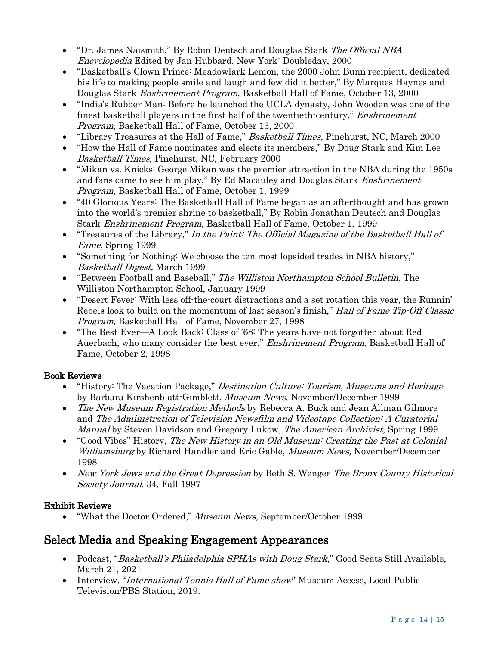- "Dr. James Naismith," By Robin Deutsch and Douglas Stark The Official NBA Encyclopedia Edited by Jan Hubbard. New York: Doubleday, 2000
- "Basketball's Clown Prince: Meadowlark Lemon, the 2000 John Bunn recipient, dedicated his life to making people smile and laugh and few did it better," By Marques Haynes and Douglas Stark Enshrinement Program, Basketball Hall of Fame, October 13, 2000
- "India's Rubber Man: Before he launched the UCLA dynasty, John Wooden was one of the finest basketball players in the first half of the twentieth-century," Enshrinement Program, Basketball Hall of Fame, October 13, 2000
- "Library Treasures at the Hall of Fame," Basketball Times, Pinehurst, NC, March 2000
- "How the Hall of Fame nominates and elects its members," By Doug Stark and Kim Lee Basketball Times, Pinehurst, NC, February 2000
- "Mikan vs. Knicks: George Mikan was the premier attraction in the NBA during the 1950s and fans came to see him play," By Ed Macauley and Douglas Stark Enshrinement Program, Basketball Hall of Fame, October 1, 1999
- "40 Glorious Years: The Basketball Hall of Fame began as an afterthought and has grown into the world's premier shrine to basketball," By Robin Jonathan Deutsch and Douglas Stark Enshrinement Program, Basketball Hall of Fame, October 1, 1999
- "Treasures of the Library," In the Paint: The Official Magazine of the Basketball Hall of Fame, Spring 1999
- "Something for Nothing: We choose the ten most lopsided trades in NBA history," Basketball Digest, March 1999
- "Between Football and Baseball," The Williston Northampton School Bulletin, The Williston Northampton School, January 1999
- "Desert Fever: With less off-the-court distractions and a set rotation this year, the Runnin' Rebels look to build on the momentum of last season's finish," Hall of Fame Tip-Off Classic Program, Basketball Hall of Fame, November 27, 1998
- "The Best Ever—A Look Back: Class of '68: The years have not forgotten about Red Auerbach, who many consider the best ever," *Enshrinement Program*, Basketball Hall of Fame, October 2, 1998

#### Book Reviews

- "History: The Vacation Package," Destination Culture: Tourism, Museums and Heritage by Barbara Kirshenblatt-Gimblett, Museum News, November/December 1999
- The New Museum Registration Methods by Rebecca A. Buck and Jean Allman Gilmore and The Administration of Television Newsfilm and Videotape Collection: A Curatorial Manual by Steven Davidson and Gregory Lukow, The American Archivist, Spring 1999
- "Good Vibes" History, The New History in an Old Museum: Creating the Past at Colonial Williamsburg by Richard Handler and Eric Gable, Museum News, November/December 1998
- New York Jews and the Great Depression by Beth S. Wenger The Bronx County Historical Society Journal, 34, Fall 1997

#### Exhibit Reviews

• "What the Doctor Ordered," Museum News, September/October 1999

## Select Media and Speaking Engagement Appearances

- Podcast, "Basketball's Philadelphia SPHAs with Doug Stark," Good Seats Still Available, March 21, 2021
- Interview, "*International Tennis Hall of Fame show*" Museum Access, Local Public Television/PBS Station, 2019.